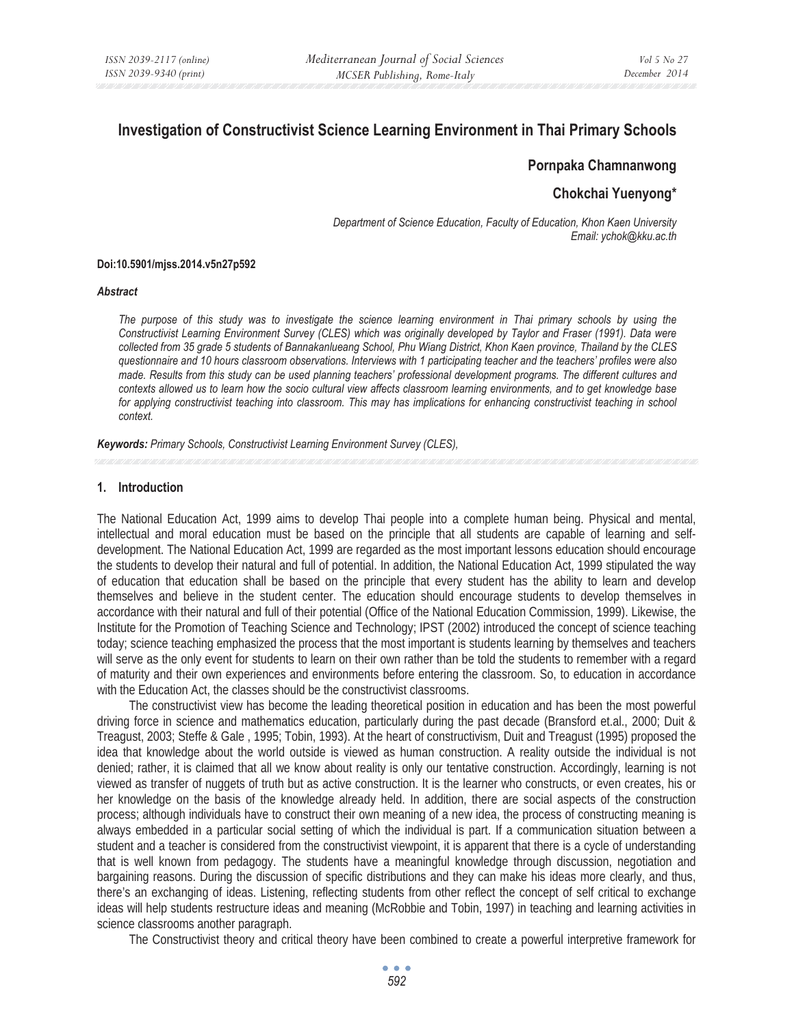# **Investigation of Constructivist Science Learning Environment in Thai Primary Schools**

### **Pornpaka Chamnanwong**

# **Chokchai Yuenyong\***

*Department of Science Education, Faculty of Education, Khon Kaen University Email: ychok@kku.ac.th* 

#### **Doi:10.5901/mjss.2014.v5n27p592**

### *Abstract*

The purpose of this study was to investigate the science learning environment in Thai primary schools by using the *Constructivist Learning Environment Survey (CLES) which was originally developed by Taylor and Fraser (1991). Data were collected from 35 grade 5 students of Bannakanlueang School, Phu Wiang District, Khon Kaen province, Thailand by the CLES questionnaire and 10 hours classroom observations. Interviews with 1 participating teacher and the teachers' profiles were also made. Results from this study can be used planning teachers' professional development programs. The different cultures and contexts allowed us to learn how the socio cultural view affects classroom learning environments, and to get knowledge base for applying constructivist teaching into classroom. This may has implications for enhancing constructivist teaching in school context.* 

*Keywords: Primary Schools, Constructivist Learning Environment Survey (CLES),* 

#### **1. Introduction**

The National Education Act, 1999 aims to develop Thai people into a complete human being. Physical and mental, intellectual and moral education must be based on the principle that all students are capable of learning and selfdevelopment. The National Education Act, 1999 are regarded as the most important lessons education should encourage the students to develop their natural and full of potential. In addition, the National Education Act, 1999 stipulated the way of education that education shall be based on the principle that every student has the ability to learn and develop themselves and believe in the student center. The education should encourage students to develop themselves in accordance with their natural and full of their potential (Office of the National Education Commission, 1999). Likewise, the Institute for the Promotion of Teaching Science and Technology; IPST (2002) introduced the concept of science teaching today; science teaching emphasized the process that the most important is students learning by themselves and teachers will serve as the only event for students to learn on their own rather than be told the students to remember with a regard of maturity and their own experiences and environments before entering the classroom. So, to education in accordance with the Education Act, the classes should be the constructivist classrooms.

The constructivist view has become the leading theoretical position in education and has been the most powerful driving force in science and mathematics education, particularly during the past decade (Bransford et.al., 2000; Duit & Treagust, 2003; Steffe & Gale , 1995; Tobin, 1993). At the heart of constructivism, Duit and Treagust (1995) proposed the idea that knowledge about the world outside is viewed as human construction. A reality outside the individual is not denied; rather, it is claimed that all we know about reality is only our tentative construction. Accordingly, learning is not viewed as transfer of nuggets of truth but as active construction. It is the learner who constructs, or even creates, his or her knowledge on the basis of the knowledge already held. In addition, there are social aspects of the construction process; although individuals have to construct their own meaning of a new idea, the process of constructing meaning is always embedded in a particular social setting of which the individual is part. If a communication situation between a student and a teacher is considered from the constructivist viewpoint, it is apparent that there is a cycle of understanding that is well known from pedagogy. The students have a meaningful knowledge through discussion, negotiation and bargaining reasons. During the discussion of specific distributions and they can make his ideas more clearly, and thus, there's an exchanging of ideas. Listening, reflecting students from other reflect the concept of self critical to exchange ideas will help students restructure ideas and meaning (McRobbie and Tobin, 1997) in teaching and learning activities in science classrooms another paragraph.

The Constructivist theory and critical theory have been combined to create a powerful interpretive framework for

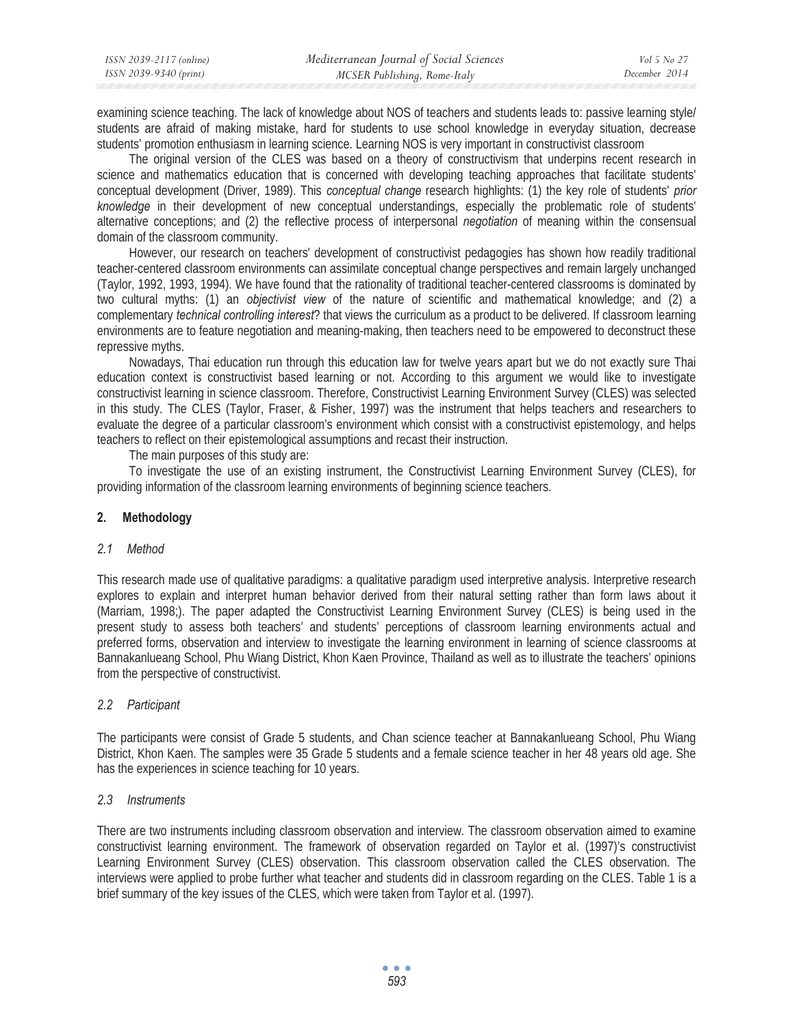| ISSN 2039-2117 (online) | Mediterranean Journal of Social Sciences | Vol 5 No 27   |
|-------------------------|------------------------------------------|---------------|
| ISSN 2039-9340 (print)  | MCSER Publishing, Rome-Italy             | December 2014 |

examining science teaching. The lack of knowledge about NOS of teachers and students leads to: passive learning style/ students are afraid of making mistake, hard for students to use school knowledge in everyday situation, decrease students' promotion enthusiasm in learning science. Learning NOS is very important in constructivist classroom

The original version of the CLES was based on a theory of constructivism that underpins recent research in science and mathematics education that is concerned with developing teaching approaches that facilitate students' conceptual development (Driver, 1989). This *conceptual change* research highlights: (1) the key role of students' *prior knowledge* in their development of new conceptual understandings, especially the problematic role of students' alternative conceptions; and (2) the reflective process of interpersonal *negotiation* of meaning within the consensual domain of the classroom community.

However, our research on teachers' development of constructivist pedagogies has shown how readily traditional teacher-centered classroom environments can assimilate conceptual change perspectives and remain largely unchanged (Taylor, 1992, 1993, 1994). We have found that the rationality of traditional teacher-centered classrooms is dominated by two cultural myths: (1) an *objectivist view* of the nature of scientific and mathematical knowledge; and (2) a complementary *technical controlling interest*? that views the curriculum as a product to be delivered. If classroom learning environments are to feature negotiation and meaning-making, then teachers need to be empowered to deconstruct these repressive myths.

Nowadays, Thai education run through this education law for twelve years apart but we do not exactly sure Thai education context is constructivist based learning or not. According to this argument we would like to investigate constructivist learning in science classroom. Therefore, Constructivist Learning Environment Survey (CLES) was selected in this study. The CLES (Taylor, Fraser, & Fisher, 1997) was the instrument that helps teachers and researchers to evaluate the degree of a particular classroom's environment which consist with a constructivist epistemology, and helps teachers to reflect on their epistemological assumptions and recast their instruction.

The main purposes of this study are:

To investigate the use of an existing instrument, the Constructivist Learning Environment Survey (CLES), for providing information of the classroom learning environments of beginning science teachers.

# **2. Methodology**

### *2.1 Method*

This research made use of qualitative paradigms: a qualitative paradigm used interpretive analysis. Interpretive research explores to explain and interpret human behavior derived from their natural setting rather than form laws about it (Marriam, 1998;). The paper adapted the Constructivist Learning Environment Survey (CLES) is being used in the present study to assess both teachers' and students' perceptions of classroom learning environments actual and preferred forms, observation and interview to investigate the learning environment in learning of science classrooms at Bannakanlueang School, Phu Wiang District, Khon Kaen Province, Thailand as well as to illustrate the teachers' opinions from the perspective of constructivist.

# *2.2 Participant*

The participants were consist of Grade 5 students, and Chan science teacher at Bannakanlueang School, Phu Wiang District, Khon Kaen. The samples were 35 Grade 5 students and a female science teacher in her 48 years old age. She has the experiences in science teaching for 10 years.

# *2.3 Instruments*

There are two instruments including classroom observation and interview. The classroom observation aimed to examine constructivist learning environment. The framework of observation regarded on Taylor et al. (1997)'s constructivist Learning Environment Survey (CLES) observation. This classroom observation called the CLES observation. The interviews were applied to probe further what teacher and students did in classroom regarding on the CLES. Table 1 is a brief summary of the key issues of the CLES, which were taken from Taylor et al. (1997).

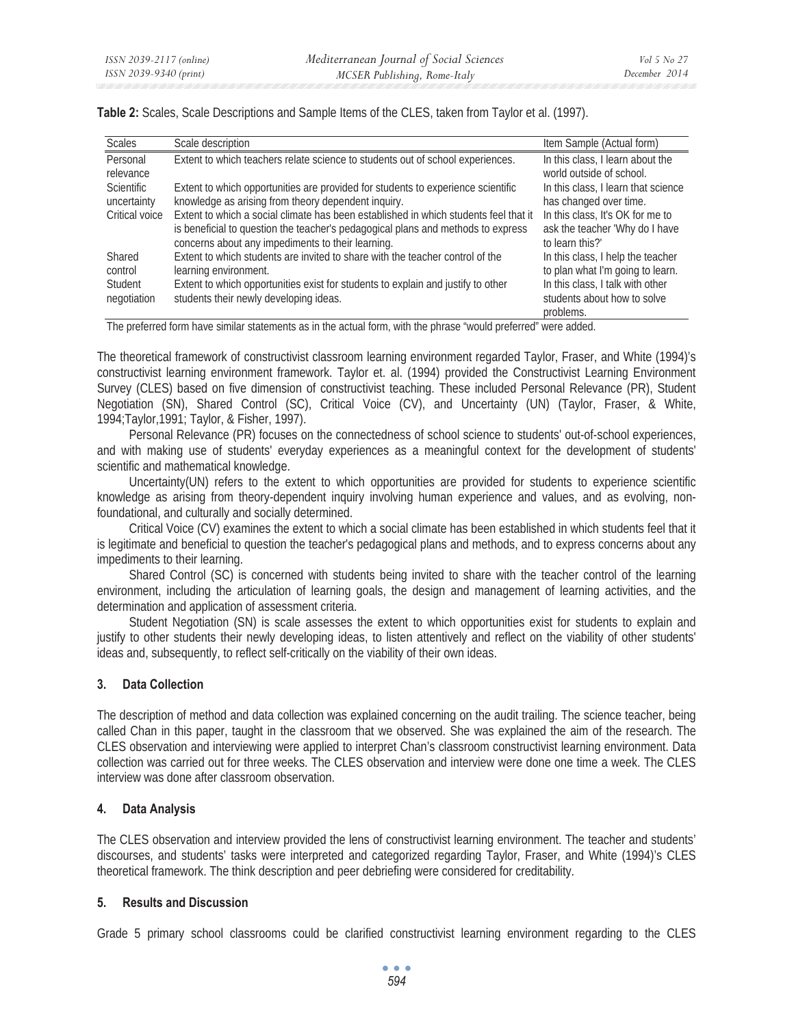| <b>Scales</b>     | Scale description                                                                    | Item Sample (Actual form)           |
|-------------------|--------------------------------------------------------------------------------------|-------------------------------------|
| Personal          | Extent to which teachers relate science to students out of school experiences.       | In this class, I learn about the    |
| relevance         |                                                                                      | world outside of school.            |
| <b>Scientific</b> | Extent to which opportunities are provided for students to experience scientific     | In this class, I learn that science |
| uncertainty       | knowledge as arising from theory dependent inquiry.                                  | has changed over time.              |
| Critical voice    | Extent to which a social climate has been established in which students feel that it | In this class, It's OK for me to    |
|                   | is beneficial to question the teacher's pedagogical plans and methods to express     | ask the teacher 'Why do I have      |
|                   | concerns about any impediments to their learning.                                    | to learn this?'                     |
| Shared            | Extent to which students are invited to share with the teacher control of the        | In this class, I help the teacher   |
| control           | learning environment.                                                                | to plan what I'm going to learn.    |
| Student           | Extent to which opportunities exist for students to explain and justify to other     | In this class, I talk with other    |
| negotiation       | students their newly developing ideas.                                               | students about how to solve         |
|                   |                                                                                      | problems.                           |

**Table 2:** Scales, Scale Descriptions and Sample Items of the CLES, taken from Taylor et al. (1997).

The preferred form have similar statements as in the actual form, with the phrase "would preferred" were added.

The theoretical framework of constructivist classroom learning environment regarded Taylor, Fraser, and White (1994)'s constructivist learning environment framework. Taylor et. al. (1994) provided the Constructivist Learning Environment Survey (CLES) based on five dimension of constructivist teaching. These included Personal Relevance (PR), Student Negotiation (SN), Shared Control (SC), Critical Voice (CV), and Uncertainty (UN) (Taylor, Fraser, & White, 1994;Taylor,1991; Taylor, & Fisher, 1997).

Personal Relevance (PR) focuses on the connectedness of school science to students' out-of-school experiences, and with making use of students' everyday experiences as a meaningful context for the development of students' scientific and mathematical knowledge.

Uncertainty(UN) refers to the extent to which opportunities are provided for students to experience scientific knowledge as arising from theory-dependent inquiry involving human experience and values, and as evolving, nonfoundational, and culturally and socially determined.

Critical Voice (CV) examines the extent to which a social climate has been established in which students feel that it is legitimate and beneficial to question the teacher's pedagogical plans and methods, and to express concerns about any impediments to their learning.

Shared Control (SC) is concerned with students being invited to share with the teacher control of the learning environment, including the articulation of learning goals, the design and management of learning activities, and the determination and application of assessment criteria.

Student Negotiation (SN) is scale assesses the extent to which opportunities exist for students to explain and justify to other students their newly developing ideas, to listen attentively and reflect on the viability of other students' ideas and, subsequently, to reflect self-critically on the viability of their own ideas.

### **3. Data Collection**

The description of method and data collection was explained concerning on the audit trailing. The science teacher, being called Chan in this paper, taught in the classroom that we observed. She was explained the aim of the research. The CLES observation and interviewing were applied to interpret Chan's classroom constructivist learning environment. Data collection was carried out for three weeks. The CLES observation and interview were done one time a week. The CLES interview was done after classroom observation.

### **4. Data Analysis**

The CLES observation and interview provided the lens of constructivist learning environment. The teacher and students' discourses, and students' tasks were interpreted and categorized regarding Taylor, Fraser, and White (1994)'s CLES theoretical framework. The think description and peer debriefing were considered for creditability.

### **5. Results and Discussion**

Grade 5 primary school classrooms could be clarified constructivist learning environment regarding to the CLES

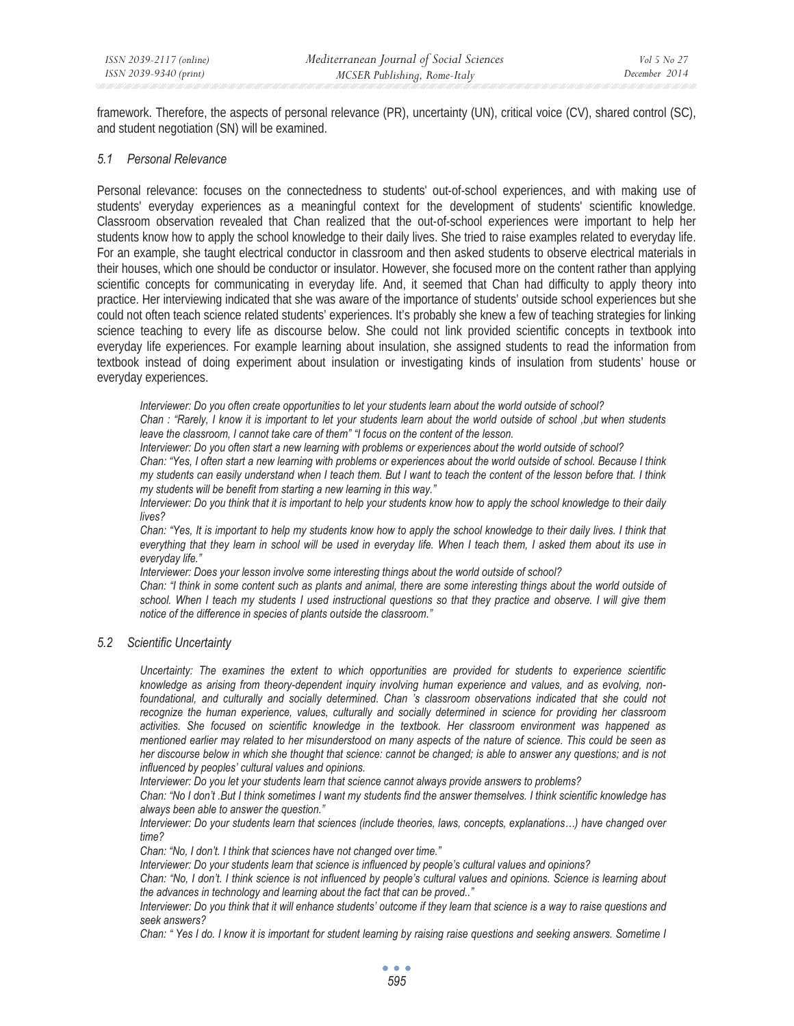framework. Therefore, the aspects of personal relevance (PR), uncertainty (UN), critical voice (CV), shared control (SC), and student negotiation (SN) will be examined.

### *5.1 Personal Relevance*

Personal relevance: focuses on the connectedness to students' out-of-school experiences, and with making use of students' everyday experiences as a meaningful context for the development of students' scientific knowledge. Classroom observation revealed that Chan realized that the out-of-school experiences were important to help her students know how to apply the school knowledge to their daily lives. She tried to raise examples related to everyday life. For an example, she taught electrical conductor in classroom and then asked students to observe electrical materials in their houses, which one should be conductor or insulator. However, she focused more on the content rather than applying scientific concepts for communicating in everyday life. And, it seemed that Chan had difficulty to apply theory into practice. Her interviewing indicated that she was aware of the importance of students' outside school experiences but she could not often teach science related students' experiences. It's probably she knew a few of teaching strategies for linking science teaching to every life as discourse below. She could not link provided scientific concepts in textbook into everyday life experiences. For example learning about insulation, she assigned students to read the information from textbook instead of doing experiment about insulation or investigating kinds of insulation from students' house or everyday experiences.

*Interviewer: Do you often create opportunities to let your students learn about the world outside of school?* 

*Chan : "Rarely, I know it is important to let your students learn about the world outside of school ,but when students leave the classroom, I cannot take care of them" "I focus on the content of the lesson.* 

*Interviewer: Do you often start a new learning with problems or experiences about the world outside of school?* 

*Chan: "Yes, I often start a new learning with problems or experiences about the world outside of school. Because I think my students can easily understand when I teach them. But I want to teach the content of the lesson before that. I think my students will be benefit from starting a new learning in this way."* 

*Interviewer: Do you think that it is important to help your students know how to apply the school knowledge to their daily lives?* 

*Chan: "Yes, It is important to help my students know how to apply the school knowledge to their daily lives. I think that everything that they learn in school will be used in everyday life. When I teach them, I asked them about its use in everyday life."* 

*Interviewer: Does your lesson involve some interesting things about the world outside of school?* 

*Chan: "I think in some content such as plants and animal, there are some interesting things about the world outside of school. When I teach my students I used instructional questions so that they practice and observe. I will give them notice of the difference in species of plants outside the classroom."* 

*5.2 Scientific Uncertainty* 

*Uncertainty: The examines the extent to which opportunities are provided for students to experience scientific knowledge as arising from theory-dependent inquiry involving human experience and values, and as evolving, non*foundational, and culturally and socially determined. Chan 's classroom observations indicated that she could not *recognize the human experience, values, culturally and socially determined in science for providing her classroom activities. She focused on scientific knowledge in the textbook. Her classroom environment was happened as mentioned earlier may related to her misunderstood on many aspects of the nature of science. This could be seen as her discourse below in which she thought that science: cannot be changed; is able to answer any questions; and is not influenced by peoples' cultural values and opinions.* 

*Interviewer: Do you let your students learn that science cannot always provide answers to problems?* 

*Chan: "No I don't .But I think sometimes I want my students find the answer themselves. I think scientific knowledge has always been able to answer the question."* 

*Interviewer: Do your students learn that sciences (include theories, laws, concepts, explanations…) have changed over time?* 

*Chan: "No, I don't. I think that sciences have not changed over time."* 

*Interviewer: Do your students learn that science is influenced by people's cultural values and opinions?* 

*Chan: "No, I don't. I think science is not influenced by people's cultural values and opinions. Science is learning about the advances in technology and learning about the fact that can be proved.."* 

*Interviewer: Do you think that it will enhance students' outcome if they learn that science is a way to raise questions and seek answers?* 

*Chan: "Yes I do. I know it is important for student learning by raising raise questions and seeking answers. Sometime I*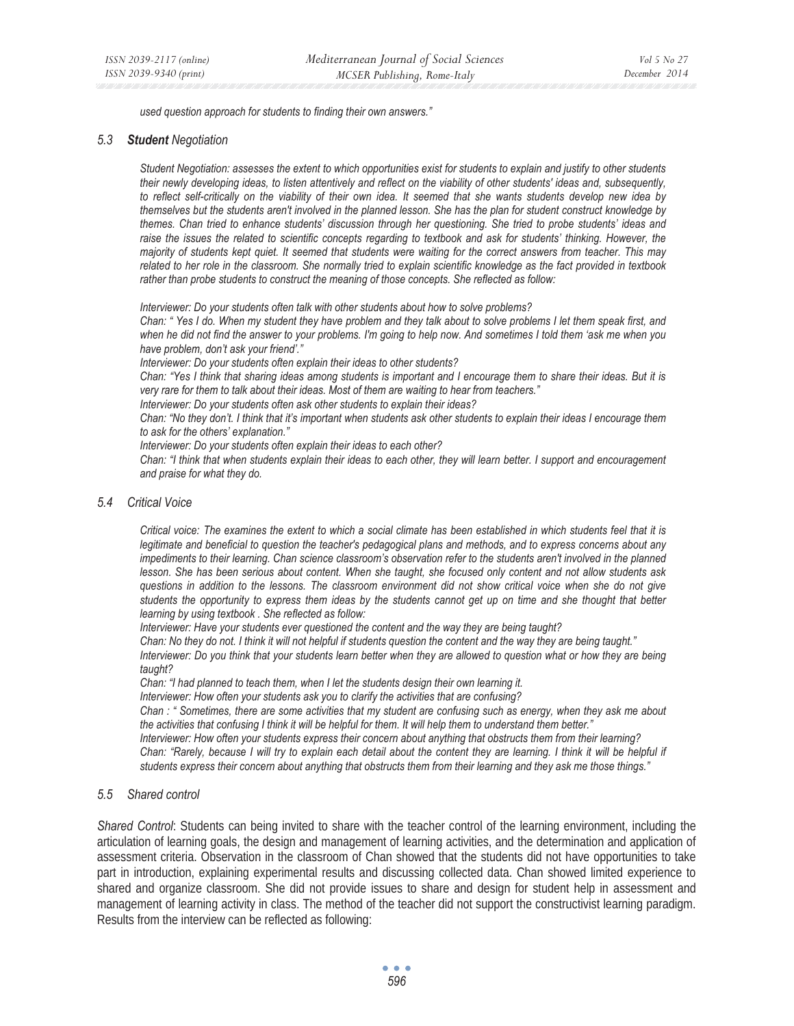*used question approach for students to finding their own answers."* 

#### *5.3 Student Negotiation*

*Student Negotiation: assesses the extent to which opportunities exist for students to explain and justify to other students their newly developing ideas, to listen attentively and reflect on the viability of other students' ideas and, subsequently, to reflect self-critically on the viability of their own idea. It seemed that she wants students develop new idea by themselves but the students aren't involved in the planned lesson. She has the plan for student construct knowledge by themes. Chan tried to enhance students' discussion through her questioning. She tried to probe students' ideas and raise the issues the related to scientific concepts regarding to textbook and ask for students' thinking. However, the majority of students kept quiet. It seemed that students were waiting for the correct answers from teacher. This may related to her role in the classroom. She normally tried to explain scientific knowledge as the fact provided in textbook rather than probe students to construct the meaning of those concepts. She reflected as follow:* 

*Interviewer: Do your students often talk with other students about how to solve problems?* 

*Chan: " Yes I do. When my student they have problem and they talk about to solve problems I let them speak first, and when he did not find the answer to your problems. I'm going to help now. And sometimes I told them 'ask me when you have problem, don't ask your friend'."* 

*Interviewer: Do your students often explain their ideas to other students?* 

*Chan: "Yes I think that sharing ideas among students is important and I encourage them to share their ideas. But it is very rare for them to talk about their ideas. Most of them are waiting to hear from teachers."* 

*Interviewer: Do your students often ask other students to explain their ideas?* 

*Chan: "No they don't. I think that it's important when students ask other students to explain their ideas I encourage them to ask for the others' explanation."* 

*Interviewer: Do your students often explain their ideas to each other?* 

*Chan: "I think that when students explain their ideas to each other, they will learn better. I support and encouragement and praise for what they do.* 

### *5.4 Critical Voice*

*Critical voice: The examines the extent to which a social climate has been established in which students feel that it is legitimate and beneficial to question the teacher's pedagogical plans and methods, and to express concerns about any impediments to their learning. Chan science classroom's observation refer to the students aren't involved in the planned lesson. She has been serious about content. When she taught, she focused only content and not allow students ask questions in addition to the lessons. The classroom environment did not show critical voice when she do not give students the opportunity to express them ideas by the students cannot get up on time and she thought that better learning by using textbook . She reflected as follow:* 

*Interviewer: Have your students ever questioned the content and the way they are being taught?* 

*Chan: No they do not. I think it will not helpful if students question the content and the way they are being taught." Interviewer: Do you think that your students learn better when they are allowed to question what or how they are being taught?* 

*Chan: "I had planned to teach them, when I let the students design their own learning it.* 

*Interviewer: How often your students ask you to clarify the activities that are confusing?* 

*Chan : " Sometimes, there are some activities that my student are confusing such as energy, when they ask me about the activities that confusing I think it will be helpful for them. It will help them to understand them better." Interviewer: How often your students express their concern about anything that obstructs them from their learning? Chan: "Rarely, because I will try to explain each detail about the content they are learning. I think it will be helpful if students express their concern about anything that obstructs them from their learning and they ask me those things."* 

### *5.5 Shared control*

*Shared Control*: Students can being invited to share with the teacher control of the learning environment, including the articulation of learning goals, the design and management of learning activities, and the determination and application of assessment criteria. Observation in the classroom of Chan showed that the students did not have opportunities to take part in introduction, explaining experimental results and discussing collected data. Chan showed limited experience to shared and organize classroom. She did not provide issues to share and design for student help in assessment and management of learning activity in class. The method of the teacher did not support the constructivist learning paradigm. Results from the interview can be reflected as following: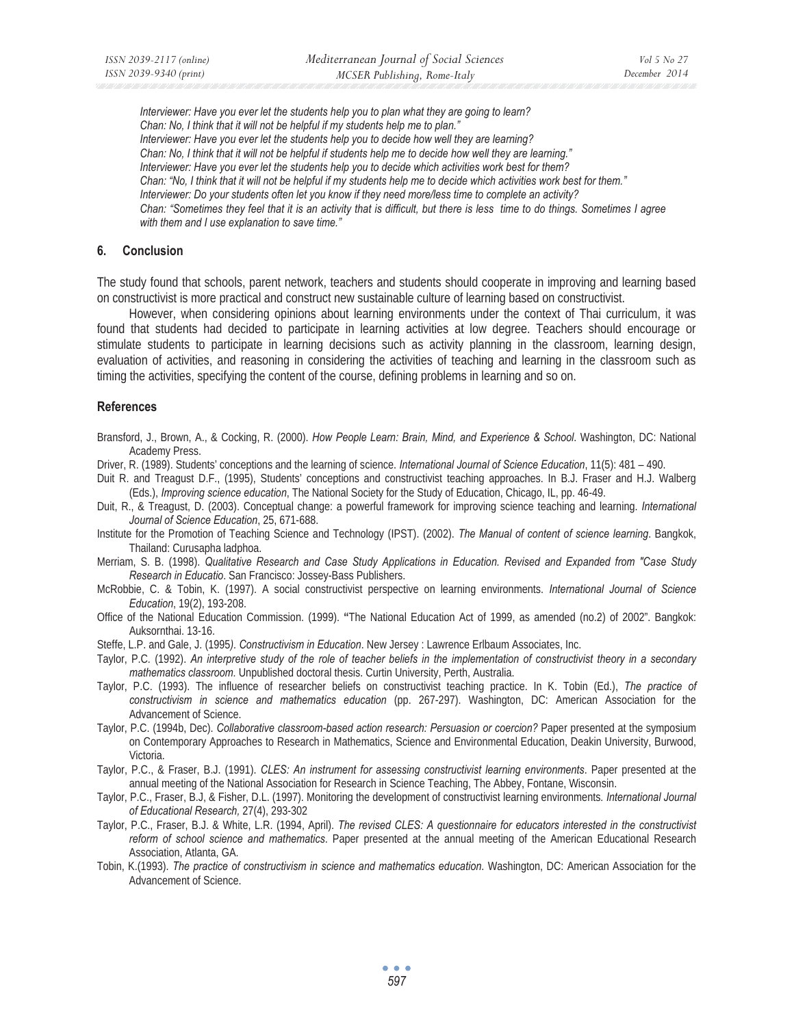*Interviewer: Have you ever let the students help you to plan what they are going to learn? Chan: No, I think that it will not be helpful if my students help me to plan." Interviewer: Have you ever let the students help you to decide how well they are learning? Chan: No, I think that it will not be helpful if students help me to decide how well they are learning." Interviewer: Have you ever let the students help you to decide which activities work best for them? Chan: "No, I think that it will not be helpful if my students help me to decide which activities work best for them." Interviewer: Do your students often let you know if they need more/less time to complete an activity? Chan: "Sometimes they feel that it is an activity that is difficult, but there is less time to do things. Sometimes I agree with them and I use explanation to save time."* 

#### **6. Conclusion**

The study found that schools, parent network, teachers and students should cooperate in improving and learning based on constructivist is more practical and construct new sustainable culture of learning based on constructivist.

However, when considering opinions about learning environments under the context of Thai curriculum, it was found that students had decided to participate in learning activities at low degree. Teachers should encourage or stimulate students to participate in learning decisions such as activity planning in the classroom, learning design, evaluation of activities, and reasoning in considering the activities of teaching and learning in the classroom such as timing the activities, specifying the content of the course, defining problems in learning and so on.

#### **References**

- Bransford, J., Brown, A., & Cocking, R. (2000). *How People Learn: Brain, Mind, and Experience & School*. Washington, DC: National Academy Press.
- Driver, R. (1989). Students' conceptions and the learning of science. *International Journal of Science Education*, 11(5): 481 490.
- Duit R. and Treagust D.F., (1995), Students' conceptions and constructivist teaching approaches. In B.J. Fraser and H.J. Walberg (Eds.), *Improving science education*, The National Society for the Study of Education, Chicago, IL, pp. 46-49.
- Duit, R., & Treagust, D. (2003). Conceptual change: a powerful framework for improving science teaching and learning. *International Journal of Science Education*, 25, 671-688.
- Institute for the Promotion of Teaching Science and Technology (IPST). (2002). *The Manual of content of science learning*. Bangkok, Thailand: Curusapha ladphoa.
- Merriam, S. B. (1998). *Qualitative Research and Case Study Applications in Education. Revised and Expanded from "Case Study Research in Educatio*. San Francisco: Jossey-Bass Publishers.
- McRobbie, C. & Tobin, K. (1997). A social constructivist perspective on learning environments. *International Journal of Science Education*, 19(2), 193-208.
- Office of the National Education Commission. (1999). **"**The National Education Act of 1999, as amended (no.2) of 2002". Bangkok: Auksornthai. 13-16.
- Steffe, L.P. and Gale, J. (1995*). Constructivism in Education*. New Jersey : Lawrence Erlbaum Associates, Inc.
- Taylor, P.C*.* (1992). *An interpretive study of the role of teacher beliefs in the implementation of constructivist theory in a secondary mathematics classroom.* Unpublished doctoral thesis. Curtin University, Perth, Australia.
- Taylor, P.C. (1993). The influence of researcher beliefs on constructivist teaching practice. In K. Tobin (Ed.), *The practice of constructivism in science and mathematics education* (pp. 267-297). Washington, DC: American Association for the Advancement of Science.
- Taylor, P.C. (1994b, Dec). *Collaborative classroom-based action research: Persuasion or coercion?* Paper presented at the symposium on Contemporary Approaches to Research in Mathematics, Science and Environmental Education, Deakin University, Burwood, Victoria.
- Taylor, P.C., & Fraser, B.J. (1991). *CLES: An instrument for assessing constructivist learning environments*. Paper presented at the annual meeting of the National Association for Research in Science Teaching, The Abbey, Fontane, Wisconsin.
- Taylor, P.C., Fraser, B.J, & Fisher, D.L. (1997). Monitoring the development of constructivist learning environments*. International Journal of Educational Research,* 27(4), 293-302
- Taylor, P.C., Fraser, B.J. & White, L.R. (1994, April). *The revised CLES: A questionnaire for educators interested in the constructivist reform of school science and mathematics*. Paper presented at the annual meeting of the American Educational Research Association, Atlanta, GA.
- Tobin, K.(1993). *The practice of constructivism in science and mathematics education*. Washington, DC: American Association for the Advancement of Science.